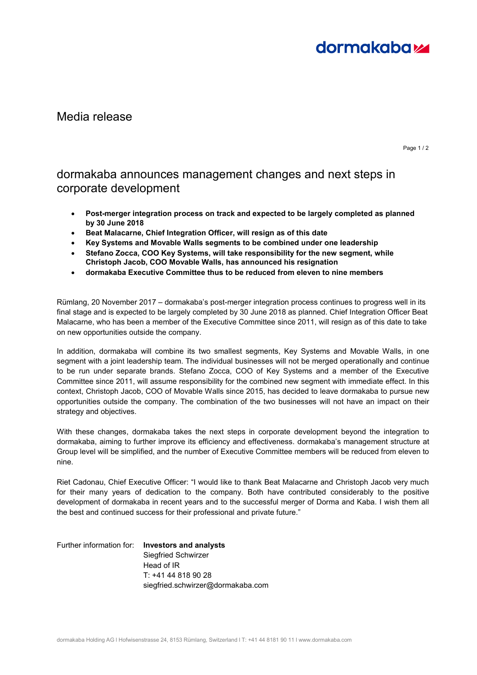

## Media release

Page 1 / 2

## dormakaba announces management changes and next steps in corporate development

- **Post-merger integration process on track and expected to be largely completed as planned by 30 June 2018**
- **Beat Malacarne, Chief Integration Officer, will resign as of this date**
- **Key Systems and Movable Walls segments to be combined under one leadership**
- **Stefano Zocca, COO Key Systems, will take responsibility for the new segment, while Christoph Jacob, COO Movable Walls, has announced his resignation**
- **dormakaba Executive Committee thus to be reduced from eleven to nine members**

Rümlang, 20 November 2017 – dormakaba's post-merger integration process continues to progress well in its final stage and is expected to be largely completed by 30 June 2018 as planned. Chief Integration Officer Beat Malacarne, who has been a member of the Executive Committee since 2011, will resign as of this date to take on new opportunities outside the company.

In addition, dormakaba will combine its two smallest segments, Key Systems and Movable Walls, in one segment with a joint leadership team. The individual businesses will not be merged operationally and continue to be run under separate brands. Stefano Zocca, COO of Key Systems and a member of the Executive Committee since 2011, will assume responsibility for the combined new segment with immediate effect. In this context, Christoph Jacob, COO of Movable Walls since 2015, has decided to leave dormakaba to pursue new opportunities outside the company. The combination of the two businesses will not have an impact on their strategy and objectives.

With these changes, dormakaba takes the next steps in corporate development beyond the integration to dormakaba, aiming to further improve its efficiency and effectiveness. dormakaba's management structure at Group level will be simplified, and the number of Executive Committee members will be reduced from eleven to nine.

Riet Cadonau, Chief Executive Officer: "I would like to thank Beat Malacarne and Christoph Jacob very much for their many years of dedication to the company. Both have contributed considerably to the positive development of dormakaba in recent years and to the successful merger of Dorma and Kaba. I wish them all the best and continued success for their professional and private future."

Further information for: **Investors and analysts** Siegfried Schwirzer Head of IR T: +41 44 818 90 28 siegfried.schwirzer@dormakaba.com